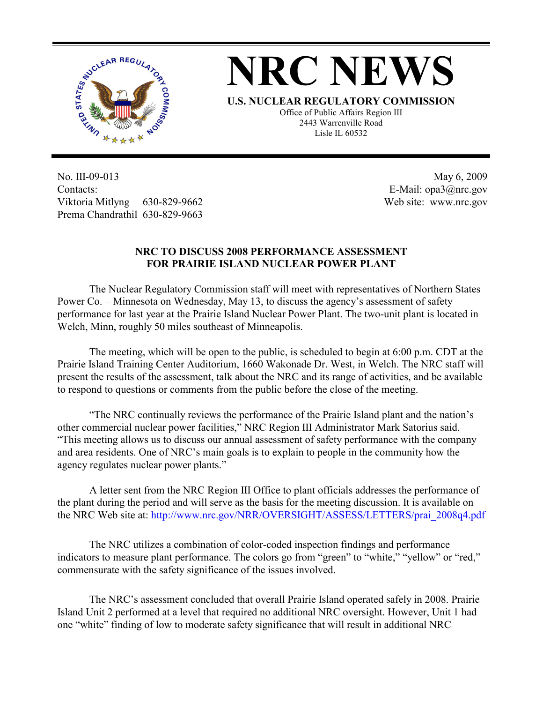

## **NRC NEWS**

**U.S. NUCLEAR REGULATORY COMMISSION** Office of Public Affairs Region III 2443 Warrenville Road Lisle IL 60532

No. III-09-013 Contacts: Viktoria Mitlyng 630-829-9662 Prema Chandrathil 630-829-9663

 May 6, 2009 E-Mail: opa3@nrc.gov Web site: www.nrc.gov

## **NRC TO DISCUSS 2008 PERFORMANCE ASSESSMENT FOR PRAIRIE ISLAND NUCLEAR POWER PLANT**

 The Nuclear Regulatory Commission staff will meet with representatives of Northern States Power Co. – Minnesota on Wednesday, May 13, to discuss the agency's assessment of safety performance for last year at the Prairie Island Nuclear Power Plant. The two-unit plant is located in Welch, Minn, roughly 50 miles southeast of Minneapolis.

 The meeting, which will be open to the public, is scheduled to begin at 6:00 p.m. CDT at the Prairie Island Training Center Auditorium, 1660 Wakonade Dr. West, in Welch. The NRC staff will present the results of the assessment, talk about the NRC and its range of activities, and be available to respond to questions or comments from the public before the close of the meeting.

 "The NRC continually reviews the performance of the Prairie Island plant and the nation's other commercial nuclear power facilities," NRC Region III Administrator Mark Satorius said. "This meeting allows us to discuss our annual assessment of safety performance with the company and area residents. One of NRC's main goals is to explain to people in the community how the agency regulates nuclear power plants."

 A letter sent from the NRC Region III Office to plant officials addresses the performance of the plant during the period and will serve as the basis for the meeting discussion. It is available on the NRC Web site at: http://www.nrc.gov/NRR/OVERSIGHT/ASSESS/LETTERS/prai\_2008q4.pdf

The NRC utilizes a combination of color-coded inspection findings and performance indicators to measure plant performance. The colors go from "green" to "white," "yellow" or "red," commensurate with the safety significance of the issues involved.

 The NRC's assessment concluded that overall Prairie Island operated safely in 2008. Prairie Island Unit 2 performed at a level that required no additional NRC oversight. However, Unit 1 had one "white" finding of low to moderate safety significance that will result in additional NRC